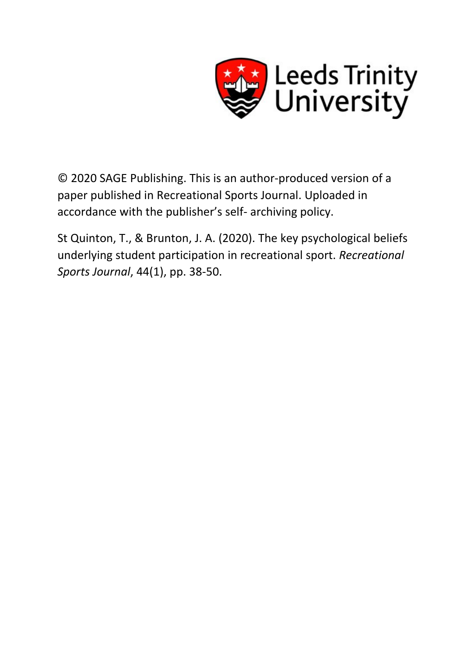

© 2020 SAGE Publishing. This is an author-produced version of a paper published in Recreational Sports Journal. Uploaded in accordance with the publisher's self- archiving policy.

St Quinton, T., & Brunton, J. A. (2020). The key psychological beliefs underlying student participation in recreational sport. *Recreational Sports Journal*, 44(1), pp. 38-50.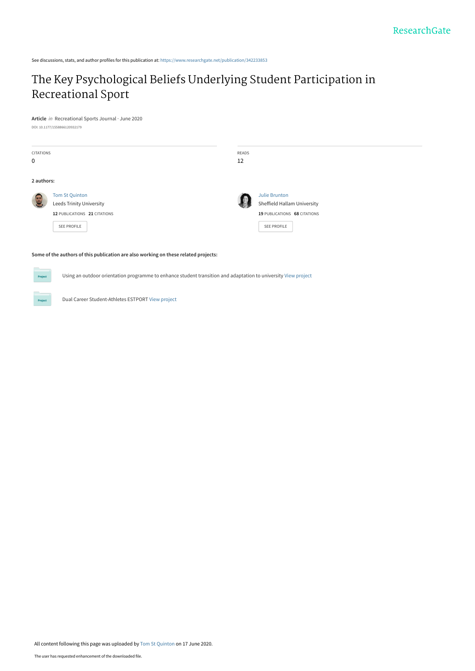See discussions, stats, and author profiles for this publication at: [https://www.researchgate.net/publication/342233853](https://www.researchgate.net/publication/342233853_The_Key_Psychological_Beliefs_Underlying_Student_Participation_in_Recreational_Sport?enrichId=rgreq-5de683070af3ca30658f32367be583ca-XXX&enrichSource=Y292ZXJQYWdlOzM0MjIzMzg1MztBUzo5MDMzNzgyNTk0MjczMjhAMTU5MjM5MzU2OTEwOA%3D%3D&el=1_x_2&_esc=publicationCoverPdf)

# [The Key Psychological Beliefs Underlying Student Participation in](https://www.researchgate.net/publication/342233853_The_Key_Psychological_Beliefs_Underlying_Student_Participation_in_Recreational_Sport?enrichId=rgreq-5de683070af3ca30658f32367be583ca-XXX&enrichSource=Y292ZXJQYWdlOzM0MjIzMzg1MztBUzo5MDMzNzgyNTk0MjczMjhAMTU5MjM5MzU2OTEwOA%3D%3D&el=1_x_3&_esc=publicationCoverPdf) Recreational Sport

**Article** in Recreational Sports Journal · June 2020 DOI: 10.1177/1558866120932179

| <b>CITATIONS</b><br>$\mathbf 0$ |                                                                                                  | READS<br>12 |                                                                                             |  |
|---------------------------------|--------------------------------------------------------------------------------------------------|-------------|---------------------------------------------------------------------------------------------|--|
| 2 authors:                      |                                                                                                  |             |                                                                                             |  |
| <b>OF</b>                       | Tom St Quinton<br>Leeds Trinity University<br>12 PUBLICATIONS 21 CITATIONS<br><b>SEE PROFILE</b> |             | Julie Brunton<br>Sheffield Hallam University<br>19 PUBLICATIONS 68 CITATIONS<br>SEE PROFILE |  |

#### **Some of the authors of this publication are also working on these related projects:**

Using an outdoor orientation programme to enhance student transition and adaptation to university [View project](https://www.researchgate.net/project/Using-an-outdoor-orientation-programme-to-enhance-student-transition-and-adaptation-to-university?enrichId=rgreq-5de683070af3ca30658f32367be583ca-XXX&enrichSource=Y292ZXJQYWdlOzM0MjIzMzg1MztBUzo5MDMzNzgyNTk0MjczMjhAMTU5MjM5MzU2OTEwOA%3D%3D&el=1_x_9&_esc=publicationCoverPdf)

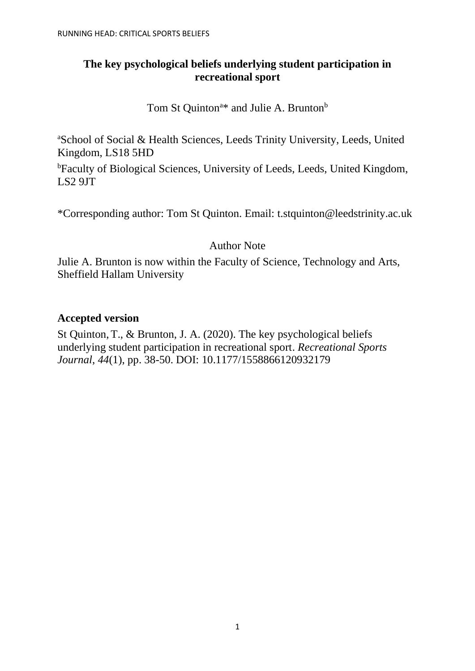# **The key psychological beliefs underlying student participation in recreational sport**

Tom St Quinton<sup>a\*</sup> and Julie A. Brunton<sup>b</sup>

<sup>a</sup>School of Social & Health Sciences, Leeds Trinity University, Leeds, United Kingdom, LS18 5HD

<sup>b</sup>Faculty of Biological Sciences, University of Leeds, Leeds, United Kingdom, LS2 9JT

\*Corresponding author: Tom St Quinton. Email: t.stquinton@leedstrinity.ac.uk

# Author Note

Julie A. Brunton is now within the Faculty of Science, Technology and Arts, Sheffield Hallam University

# **Accepted version**

St Quinton,T., & Brunton, J. A. (2020). The key psychological beliefs underlying student participation in recreational sport. *Recreational Sports Journal*, *44*(1), pp. 38-50. DOI: 10.1177/1558866120932179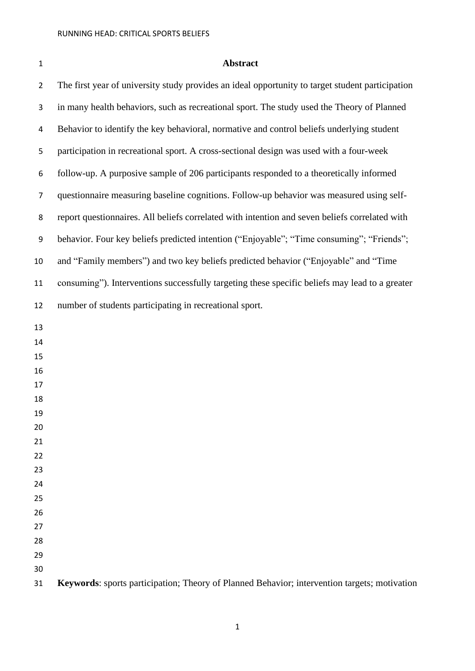# **Abstract**

| $\overline{2}$ | The first year of university study provides an ideal opportunity to target student participation |
|----------------|--------------------------------------------------------------------------------------------------|
| 3              | in many health behaviors, such as recreational sport. The study used the Theory of Planned       |
| 4              | Behavior to identify the key behavioral, normative and control beliefs underlying student        |
| 5              | participation in recreational sport. A cross-sectional design was used with a four-week          |
| 6              | follow-up. A purposive sample of 206 participants responded to a theoretically informed          |
| 7              | questionnaire measuring baseline cognitions. Follow-up behavior was measured using self-         |
| 8              | report questionnaires. All beliefs correlated with intention and seven beliefs correlated with   |
| 9              | behavior. Four key beliefs predicted intention ("Enjoyable"; "Time consuming"; "Friends";        |
| 10             | and "Family members") and two key beliefs predicted behavior ("Enjoyable" and "Time              |
| 11             | consuming"). Interventions successfully targeting these specific beliefs may lead to a greater   |
| 12             | number of students participating in recreational sport.                                          |
| 13             |                                                                                                  |
| 14             |                                                                                                  |
| 15             |                                                                                                  |
| 16             |                                                                                                  |
| 17             |                                                                                                  |
| 18             |                                                                                                  |
| 19             |                                                                                                  |
| 20             |                                                                                                  |
| 21             |                                                                                                  |
| 22             |                                                                                                  |
| 23             |                                                                                                  |
| 24             |                                                                                                  |
| 25             |                                                                                                  |
| 26             |                                                                                                  |
| 27             |                                                                                                  |
| 28             |                                                                                                  |
| 29             |                                                                                                  |
| 30             |                                                                                                  |
| 31             | Keywords: sports participation; Theory of Planned Behavior; intervention targets; motivation     |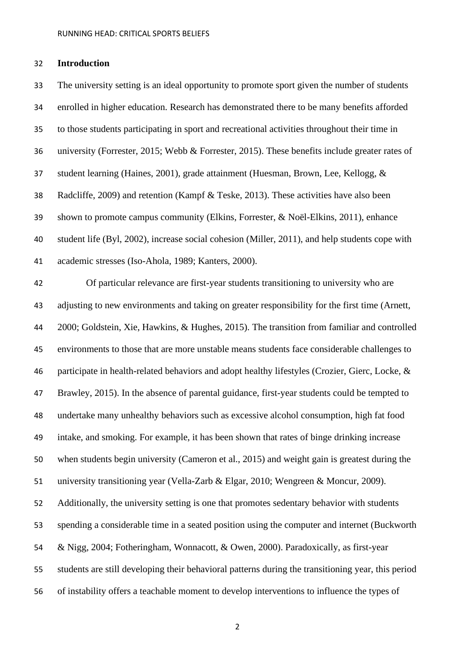# **Introduction**

 The university setting is an ideal opportunity to promote sport given the number of students enrolled in higher education. Research has demonstrated there to be many benefits afforded to those students participating in sport and recreational activities throughout their time in university (Forrester, 2015; Webb & Forrester, 2015). These benefits include greater rates of student learning (Haines, 2001), grade attainment (Huesman, Brown, Lee, Kellogg, & Radcliffe, 2009) and retention (Kampf & Teske, 2013). These activities have also been shown to promote campus community (Elkins, Forrester, & Noël-Elkins, 2011), enhance student life (Byl, 2002), increase social cohesion (Miller, 2011), and help students cope with academic stresses (Iso-Ahola, 1989; Kanters, 2000). Of particular relevance are first-year students transitioning to university who are adjusting to new environments and taking on greater responsibility for the first time (Arnett, 2000; Goldstein, Xie, Hawkins, & Hughes, 2015). The transition from familiar and controlled environments to those that are more unstable means students face considerable challenges to participate in health-related behaviors and adopt healthy lifestyles (Crozier, Gierc, Locke, & Brawley, 2015). In the absence of parental guidance, first-year students could be tempted to undertake many unhealthy behaviors such as excessive alcohol consumption, high fat food intake, and smoking. For example, it has been shown that rates of binge drinking increase when students begin university (Cameron et al., 2015) and weight gain is greatest during the university transitioning year (Vella-Zarb & Elgar, 2010; Wengreen & Moncur, 2009). Additionally, the university setting is one that promotes sedentary behavior with students spending a considerable time in a seated position using the computer and internet (Buckworth & Nigg, 2004; Fotheringham, Wonnacott, & Owen, 2000). Paradoxically, as first-year students are still developing their behavioral patterns during the transitioning year, this period of instability offers a teachable moment to develop interventions to influence the types of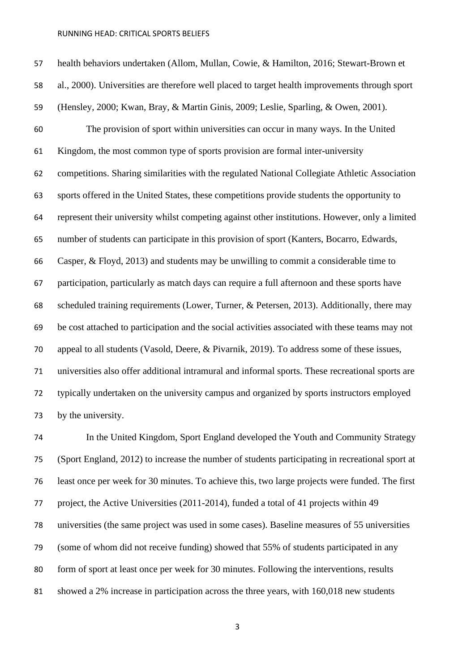health behaviors undertaken (Allom, Mullan, Cowie, & Hamilton, 2016; Stewart-Brown et al., 2000). Universities are therefore well placed to target health improvements through sport (Hensley, 2000; Kwan, Bray, & Martin Ginis, 2009; Leslie, Sparling, & Owen, 2001). The provision of sport within universities can occur in many ways. In the United Kingdom, the most common type of sports provision are formal inter-university competitions. Sharing similarities with the regulated National Collegiate Athletic Association sports offered in the United States, these competitions provide students the opportunity to represent their university whilst competing against other institutions. However, only a limited number of students can participate in this provision of sport (Kanters, Bocarro, Edwards, Casper, & Floyd, 2013) and students may be unwilling to commit a considerable time to participation, particularly as match days can require a full afternoon and these sports have scheduled training requirements (Lower, Turner, & Petersen, 2013). Additionally, there may be cost attached to participation and the social activities associated with these teams may not appeal to all students (Vasold, Deere, & Pivarnik, 2019). To address some of these issues, universities also offer additional intramural and informal sports. These recreational sports are typically undertaken on the university campus and organized by sports instructors employed by the university.

 In the United Kingdom, Sport England developed the Youth and Community Strategy (Sport England, 2012) to increase the number of students participating in recreational sport at least once per week for 30 minutes. To achieve this, two large projects were funded. The first project, the Active Universities (2011-2014), funded a total of 41 projects within 49 universities (the same project was used in some cases). Baseline measures of 55 universities (some of whom did not receive funding) showed that 55% of students participated in any form of sport at least once per week for 30 minutes. Following the interventions, results showed a 2% increase in participation across the three years, with 160,018 new students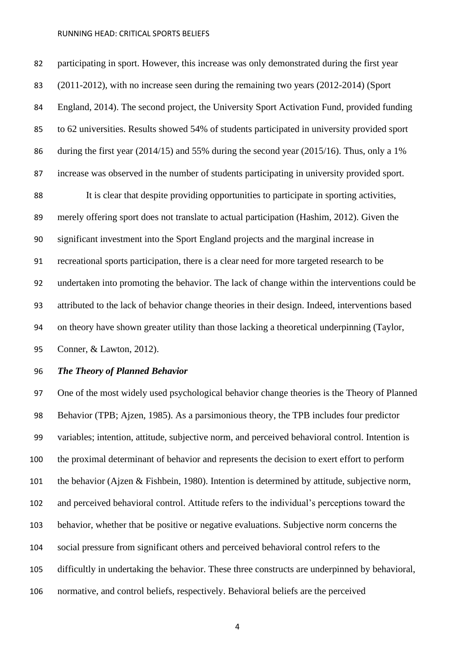participating in sport. However, this increase was only demonstrated during the first year (2011-2012), with no increase seen during the remaining two years (2012-2014) (Sport England, 2014). The second project, the University Sport Activation Fund, provided funding to 62 universities. Results showed 54% of students participated in university provided sport during the first year (2014/15) and 55% during the second year (2015/16). Thus, only a 1% increase was observed in the number of students participating in university provided sport.

 It is clear that despite providing opportunities to participate in sporting activities, merely offering sport does not translate to actual participation (Hashim, 2012). Given the significant investment into the Sport England projects and the marginal increase in recreational sports participation, there is a clear need for more targeted research to be undertaken into promoting the behavior. The lack of change within the interventions could be attributed to the lack of behavior change theories in their design. Indeed, interventions based on theory have shown greater utility than those lacking a theoretical underpinning (Taylor,

Conner, & Lawton, 2012).

# *The Theory of Planned Behavior*

 One of the most widely used psychological behavior change theories is the Theory of Planned Behavior (TPB; Ajzen, 1985). As a parsimonious theory, the TPB includes four predictor variables; intention, attitude, subjective norm, and perceived behavioral control. Intention is the proximal determinant of behavior and represents the decision to exert effort to perform the behavior (Ajzen & Fishbein, 1980). Intention is determined by attitude, subjective norm, and perceived behavioral control. Attitude refers to the individual's perceptions toward the behavior, whether that be positive or negative evaluations. Subjective norm concerns the social pressure from significant others and perceived behavioral control refers to the difficultly in undertaking the behavior. These three constructs are underpinned by behavioral, normative, and control beliefs, respectively. Behavioral beliefs are the perceived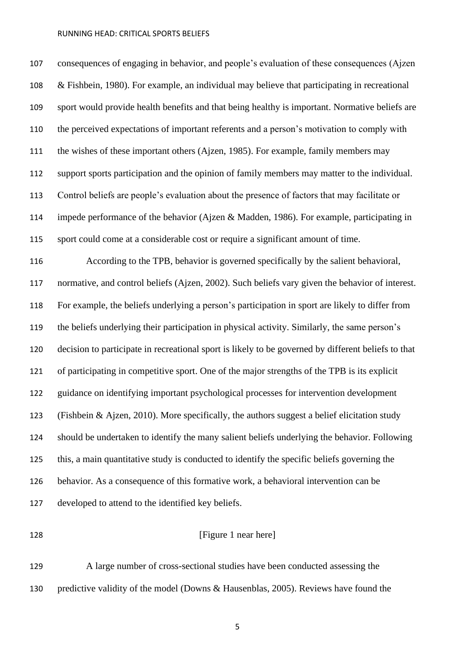consequences of engaging in behavior, and people's evaluation of these consequences (Ajzen & Fishbein, 1980). For example, an individual may believe that participating in recreational sport would provide health benefits and that being healthy is important. Normative beliefs are the perceived expectations of important referents and a person's motivation to comply with the wishes of these important others (Ajzen, 1985). For example, family members may support sports participation and the opinion of family members may matter to the individual. Control beliefs are people's evaluation about the presence of factors that may facilitate or impede performance of the behavior (Ajzen & Madden, 1986). For example, participating in sport could come at a considerable cost or require a significant amount of time. According to the TPB, behavior is governed specifically by the salient behavioral,

 normative, and control beliefs (Ajzen, 2002). Such beliefs vary given the behavior of interest. For example, the beliefs underlying a person's participation in sport are likely to differ from the beliefs underlying their participation in physical activity. Similarly, the same person's decision to participate in recreational sport is likely to be governed by different beliefs to that of participating in competitive sport. One of the major strengths of the TPB is its explicit guidance on identifying important psychological processes for intervention development (Fishbein & Ajzen, 2010). More specifically, the authors suggest a belief elicitation study should be undertaken to identify the many salient beliefs underlying the behavior. Following this, a main quantitative study is conducted to identify the specific beliefs governing the behavior. As a consequence of this formative work, a behavioral intervention can be developed to attend to the identified key beliefs.

# **[Figure 1 near here]**

 A large number of cross-sectional studies have been conducted assessing the predictive validity of the model (Downs & Hausenblas, 2005). Reviews have found the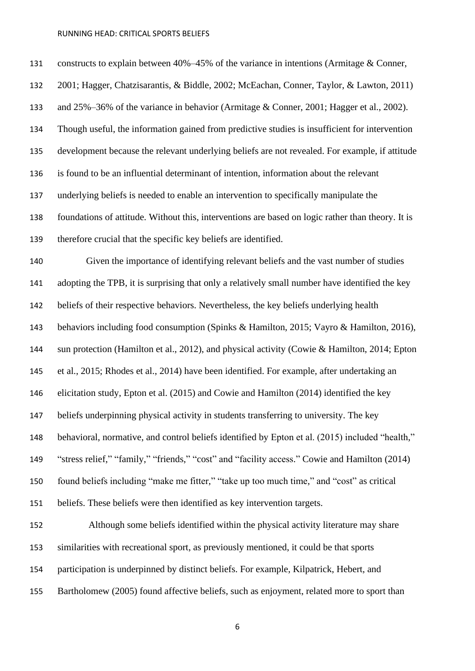constructs to explain between 40%–45% of the variance in intentions (Armitage & Conner, 2001; Hagger, Chatzisarantis, & Biddle, 2002; McEachan, Conner, Taylor, & Lawton, 2011) and 25%–36% of the variance in behavior (Armitage & Conner, 2001; Hagger et al., 2002). Though useful, the information gained from predictive studies is insufficient for intervention development because the relevant underlying beliefs are not revealed. For example, if attitude is found to be an influential determinant of intention, information about the relevant underlying beliefs is needed to enable an intervention to specifically manipulate the foundations of attitude. Without this, interventions are based on logic rather than theory. It is therefore crucial that the specific key beliefs are identified. Given the importance of identifying relevant beliefs and the vast number of studies adopting the TPB, it is surprising that only a relatively small number have identified the key beliefs of their respective behaviors. Nevertheless, the key beliefs underlying health behaviors including food consumption (Spinks & Hamilton, 2015; Vayro & Hamilton, 2016), sun protection (Hamilton et al., 2012), and physical activity (Cowie & Hamilton, 2014; Epton et al., 2015; Rhodes et al., 2014) have been identified. For example, after undertaking an elicitation study, Epton et al. (2015) and Cowie and Hamilton (2014) identified the key beliefs underpinning physical activity in students transferring to university. The key behavioral, normative, and control beliefs identified by Epton et al. (2015) included "health," "stress relief," "family," "friends," "cost" and "facility access." Cowie and Hamilton (2014) found beliefs including "make me fitter," "take up too much time," and "cost" as critical beliefs. These beliefs were then identified as key intervention targets. Although some beliefs identified within the physical activity literature may share similarities with recreational sport, as previously mentioned, it could be that sports participation is underpinned by distinct beliefs. For example, Kilpatrick, Hebert, and

Bartholomew (2005) found affective beliefs, such as enjoyment, related more to sport than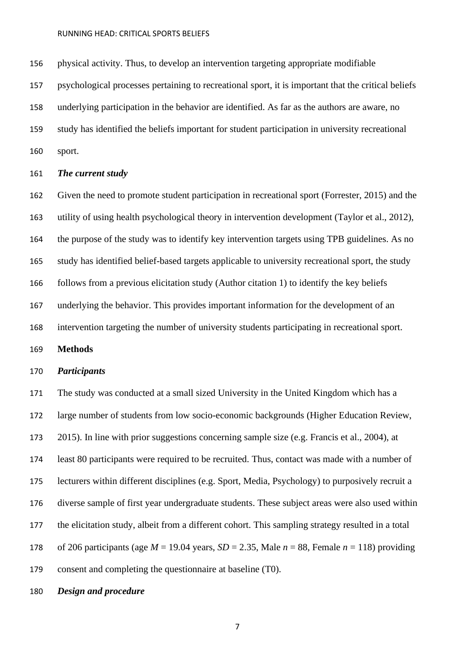physical activity. Thus, to develop an intervention targeting appropriate modifiable

psychological processes pertaining to recreational sport, it is important that the critical beliefs

underlying participation in the behavior are identified. As far as the authors are aware, no

study has identified the beliefs important for student participation in university recreational

sport.

# *The current study*

 Given the need to promote student participation in recreational sport (Forrester, 2015) and the utility of using health psychological theory in intervention development (Taylor et al., 2012), the purpose of the study was to identify key intervention targets using TPB guidelines. As no study has identified belief-based targets applicable to university recreational sport, the study follows from a previous elicitation study (Author citation 1) to identify the key beliefs underlying the behavior. This provides important information for the development of an intervention targeting the number of university students participating in recreational sport.

**Methods**

# *Participants*

 The study was conducted at a small sized University in the United Kingdom which has a large number of students from low socio-economic backgrounds (Higher Education Review, 2015). In line with prior suggestions concerning sample size (e.g. Francis et al., 2004), at least 80 participants were required to be recruited. Thus, contact was made with a number of lecturers within different disciplines (e.g. Sport, Media, Psychology) to purposively recruit a diverse sample of first year undergraduate students. These subject areas were also used within the elicitation study, albeit from a different cohort. This sampling strategy resulted in a total 178 of 206 participants (age  $M = 19.04$  years,  $SD = 2.35$ , Male  $n = 88$ , Female  $n = 118$ ) providing consent and completing the questionnaire at baseline (T0).

# *Design and procedure*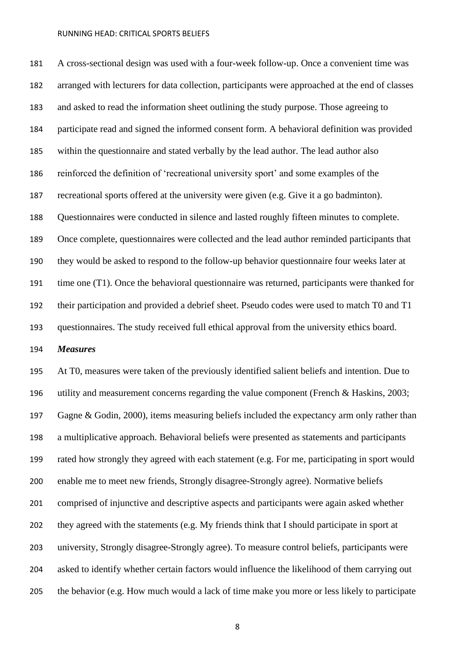A cross-sectional design was used with a four-week follow-up. Once a convenient time was arranged with lecturers for data collection, participants were approached at the end of classes and asked to read the information sheet outlining the study purpose. Those agreeing to participate read and signed the informed consent form. A behavioral definition was provided within the questionnaire and stated verbally by the lead author. The lead author also reinforced the definition of 'recreational university sport' and some examples of the recreational sports offered at the university were given (e.g. Give it a go badminton). Questionnaires were conducted in silence and lasted roughly fifteen minutes to complete. Once complete, questionnaires were collected and the lead author reminded participants that they would be asked to respond to the follow-up behavior questionnaire four weeks later at time one (T1). Once the behavioral questionnaire was returned, participants were thanked for their participation and provided a debrief sheet. Pseudo codes were used to match T0 and T1 questionnaires. The study received full ethical approval from the university ethics board.

*Measures* 

 At T0, measures were taken of the previously identified salient beliefs and intention. Due to utility and measurement concerns regarding the value component (French & Haskins, 2003; Gagne & Godin, 2000), items measuring beliefs included the expectancy arm only rather than a multiplicative approach. Behavioral beliefs were presented as statements and participants rated how strongly they agreed with each statement (e.g. For me, participating in sport would enable me to meet new friends, Strongly disagree-Strongly agree). Normative beliefs comprised of injunctive and descriptive aspects and participants were again asked whether they agreed with the statements (e.g. My friends think that I should participate in sport at university, Strongly disagree-Strongly agree). To measure control beliefs, participants were asked to identify whether certain factors would influence the likelihood of them carrying out the behavior (e.g. How much would a lack of time make you more or less likely to participate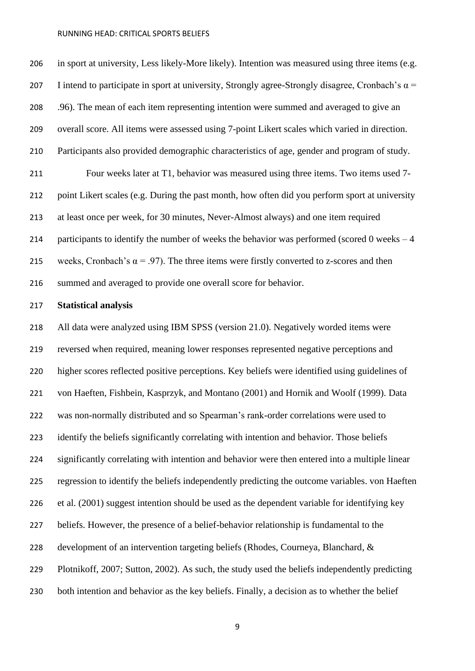in sport at university, Less likely-More likely). Intention was measured using three items (e.g. 207 I intend to participate in sport at university, Strongly agree-Strongly disagree, Cronbach's  $\alpha$  = .96). The mean of each item representing intention were summed and averaged to give an overall score. All items were assessed using 7-point Likert scales which varied in direction. Participants also provided demographic characteristics of age, gender and program of study. Four weeks later at T1, behavior was measured using three items. Two items used 7- point Likert scales (e.g. During the past month, how often did you perform sport at university at least once per week, for 30 minutes, Never-Almost always) and one item required 214 participants to identify the number of weeks the behavior was performed (scored 0 weeks  $-4$ ) 215 weeks, Cronbach's  $\alpha$  = .97). The three items were firstly converted to z-scores and then summed and averaged to provide one overall score for behavior.

# **Statistical analysis**

 All data were analyzed using IBM SPSS (version 21.0). Negatively worded items were reversed when required, meaning lower responses represented negative perceptions and higher scores reflected positive perceptions. Key beliefs were identified using guidelines of von Haeften, Fishbein, Kasprzyk, and Montano (2001) and Hornik and Woolf (1999). Data was non-normally distributed and so Spearman's rank-order correlations were used to 223 identify the beliefs significantly correlating with intention and behavior. Those beliefs significantly correlating with intention and behavior were then entered into a multiple linear regression to identify the beliefs independently predicting the outcome variables. von Haeften et al. (2001) suggest intention should be used as the dependent variable for identifying key beliefs. However, the presence of a belief-behavior relationship is fundamental to the development of an intervention targeting beliefs (Rhodes, Courneya, Blanchard, & Plotnikoff, 2007; Sutton, 2002). As such, the study used the beliefs independently predicting both intention and behavior as the key beliefs. Finally, a decision as to whether the belief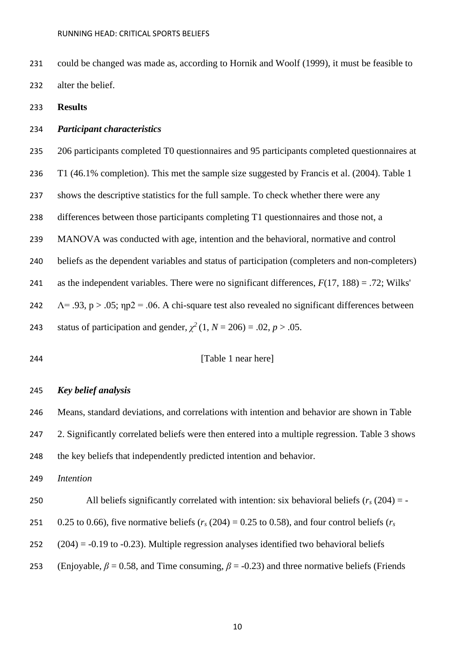- could be changed was made as, according to Hornik and Woolf (1999), it must be feasible to alter the belief.
- **Results**

# *Participant characteristics*

- 206 participants completed T0 questionnaires and 95 participants completed questionnaires at
- T1 (46.1% completion). This met the sample size suggested by Francis et al. (2004). Table 1
- shows the descriptive statistics for the full sample. To check whether there were any
- differences between those participants completing T1 questionnaires and those not, a
- MANOVA was conducted with age, intention and the behavioral, normative and control
- beliefs as the dependent variables and status of participation (completers and non-completers)
- 241 as the independent variables. There were no significant differences,  $F(17, 188) = .72$ ; Wilks'
- 242  $\Lambda$  = .93, p > .05;  $np2$  = .06. A chi-square test also revealed no significant differences between
- 243 status of participation and gender,  $\chi^2(1, N = 206) = .02, p > .05$ .
- [Table 1 near here]

### *Key belief analysis*

 Means, standard deviations, and correlations with intention and behavior are shown in Table 247 2. Significantly correlated beliefs were then entered into a multiple regression. Table 3 shows

the key beliefs that independently predicted intention and behavior.

*Intention*

250 All beliefs significantly correlated with intention: six behavioral beliefs  $(r_s(204) = -$ 

251 0.25 to 0.66), five normative beliefs ( $r_s$  (204) = 0.25 to 0.58), and four control beliefs ( $r_s$ 

- (204) = -0.19 to -0.23). Multiple regression analyses identified two behavioral beliefs
- 253 (Enjoyable,  $\beta = 0.58$ , and Time consuming,  $\beta = -0.23$ ) and three normative beliefs (Friends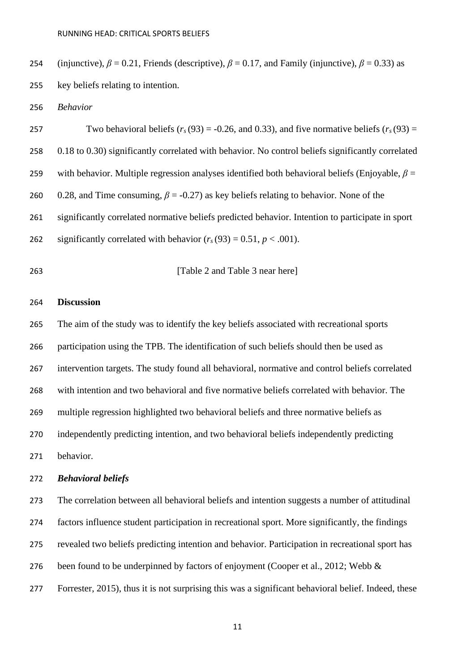254 (injunctive),  $\beta = 0.21$ , Friends (descriptive),  $\beta = 0.17$ , and Family (injunctive),  $\beta = 0.33$ ) as key beliefs relating to intention.

*Behavior*

257 Two behavioral beliefs  $(r_s(93) = -0.26$ , and 0.33), and five normative beliefs  $(r_s(93) =$  0.18 to 0.30) significantly correlated with behavior. No control beliefs significantly correlated with behavior. Multiple regression analyses identified both behavioral beliefs (Enjoyable, *β* = 0.28, and Time consuming, *β* = -0.27) as key beliefs relating to behavior. None of the significantly correlated normative beliefs predicted behavior. Intention to participate in sport 262 significantly correlated with behavior  $(r_s(93) = 0.51, p < .001)$ .

# **[Table 2 and Table 3 near here]**

## **Discussion**

 The aim of the study was to identify the key beliefs associated with recreational sports participation using the TPB. The identification of such beliefs should then be used as intervention targets. The study found all behavioral, normative and control beliefs correlated with intention and two behavioral and five normative beliefs correlated with behavior. The multiple regression highlighted two behavioral beliefs and three normative beliefs as independently predicting intention, and two behavioral beliefs independently predicting behavior.

# *Behavioral beliefs*

 The correlation between all behavioral beliefs and intention suggests a number of attitudinal factors influence student participation in recreational sport. More significantly, the findings revealed two beliefs predicting intention and behavior. Participation in recreational sport has 276 been found to be underpinned by factors of enjoyment (Cooper et al., 2012; Webb & Forrester, 2015), thus it is not surprising this was a significant behavioral belief. Indeed, these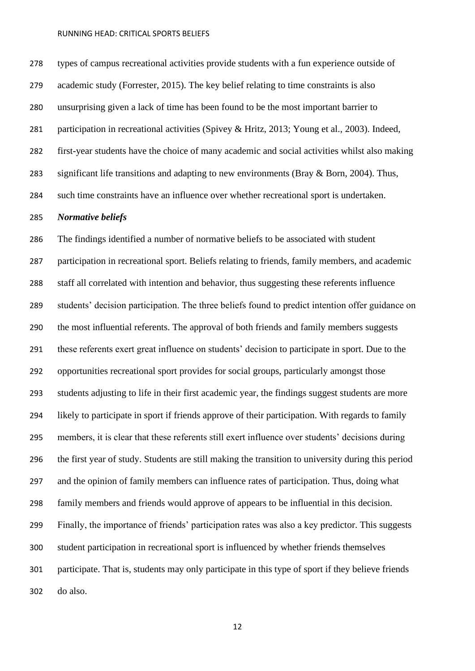types of campus recreational activities provide students with a fun experience outside of academic study (Forrester, 2015). The key belief relating to time constraints is also unsurprising given a lack of time has been found to be the most important barrier to participation in recreational activities (Spivey & Hritz, 2013; Young et al., 2003). Indeed, first-year students have the choice of many academic and social activities whilst also making 283 significant life transitions and adapting to new environments (Bray & Born, 2004). Thus, such time constraints have an influence over whether recreational sport is undertaken.

### *Normative beliefs*

 The findings identified a number of normative beliefs to be associated with student participation in recreational sport. Beliefs relating to friends, family members, and academic staff all correlated with intention and behavior, thus suggesting these referents influence students' decision participation. The three beliefs found to predict intention offer guidance on the most influential referents. The approval of both friends and family members suggests these referents exert great influence on students' decision to participate in sport. Due to the opportunities recreational sport provides for social groups, particularly amongst those students adjusting to life in their first academic year, the findings suggest students are more likely to participate in sport if friends approve of their participation. With regards to family members, it is clear that these referents still exert influence over students' decisions during the first year of study. Students are still making the transition to university during this period and the opinion of family members can influence rates of participation. Thus, doing what family members and friends would approve of appears to be influential in this decision. Finally, the importance of friends' participation rates was also a key predictor. This suggests student participation in recreational sport is influenced by whether friends themselves participate. That is, students may only participate in this type of sport if they believe friends do also.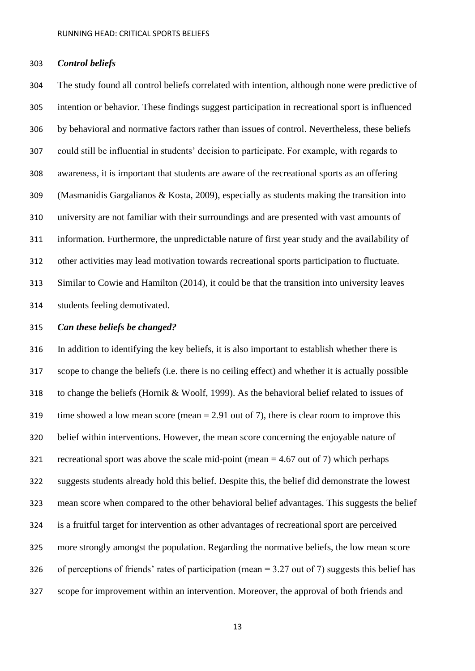#### *Control beliefs*

 The study found all control beliefs correlated with intention, although none were predictive of intention or behavior. These findings suggest participation in recreational sport is influenced by behavioral and normative factors rather than issues of control. Nevertheless, these beliefs could still be influential in students' decision to participate. For example, with regards to awareness, it is important that students are aware of the recreational sports as an offering (Masmanidis Gargalianos & Kosta, 2009), especially as students making the transition into university are not familiar with their surroundings and are presented with vast amounts of information. Furthermore, the unpredictable nature of first year study and the availability of other activities may lead motivation towards recreational sports participation to fluctuate. Similar to Cowie and Hamilton (2014), it could be that the transition into university leaves students feeling demotivated.

## *Can these beliefs be changed?*

 In addition to identifying the key beliefs, it is also important to establish whether there is scope to change the beliefs (i.e. there is no ceiling effect) and whether it is actually possible to change the beliefs (Hornik & Woolf, 1999). As the behavioral belief related to issues of 319 time showed a low mean score (mean  $= 2.91$  out of 7), there is clear room to improve this belief within interventions. However, the mean score concerning the enjoyable nature of 321 recreational sport was above the scale mid-point (mean  $=$  4.67 out of 7) which perhaps suggests students already hold this belief. Despite this, the belief did demonstrate the lowest mean score when compared to the other behavioral belief advantages. This suggests the belief is a fruitful target for intervention as other advantages of recreational sport are perceived more strongly amongst the population. Regarding the normative beliefs, the low mean score of perceptions of friends' rates of participation (mean = 3.27 out of 7) suggests this belief has scope for improvement within an intervention. Moreover, the approval of both friends and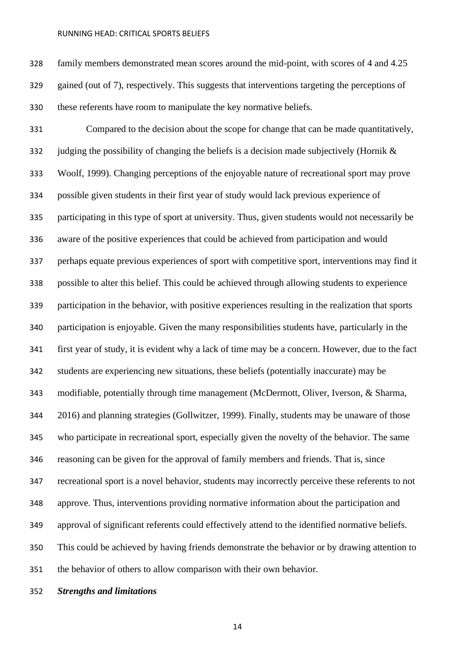family members demonstrated mean scores around the mid-point, with scores of 4 and 4.25 gained (out of 7), respectively. This suggests that interventions targeting the perceptions of these referents have room to manipulate the key normative beliefs.

 Compared to the decision about the scope for change that can be made quantitatively, 332 judging the possibility of changing the beliefs is a decision made subjectively (Hornik  $\&$  Woolf, 1999). Changing perceptions of the enjoyable nature of recreational sport may prove possible given students in their first year of study would lack previous experience of participating in this type of sport at university. Thus, given students would not necessarily be aware of the positive experiences that could be achieved from participation and would perhaps equate previous experiences of sport with competitive sport, interventions may find it possible to alter this belief. This could be achieved through allowing students to experience participation in the behavior, with positive experiences resulting in the realization that sports participation is enjoyable. Given the many responsibilities students have, particularly in the first year of study, it is evident why a lack of time may be a concern. However, due to the fact students are experiencing new situations, these beliefs (potentially inaccurate) may be modifiable, potentially through time management (McDermott, Oliver, Iverson, & Sharma, 2016) and planning strategies (Gollwitzer, 1999). Finally, students may be unaware of those who participate in recreational sport, especially given the novelty of the behavior. The same reasoning can be given for the approval of family members and friends. That is, since recreational sport is a novel behavior, students may incorrectly perceive these referents to not approve. Thus, interventions providing normative information about the participation and approval of significant referents could effectively attend to the identified normative beliefs. This could be achieved by having friends demonstrate the behavior or by drawing attention to the behavior of others to allow comparison with their own behavior.

# *Strengths and limitations*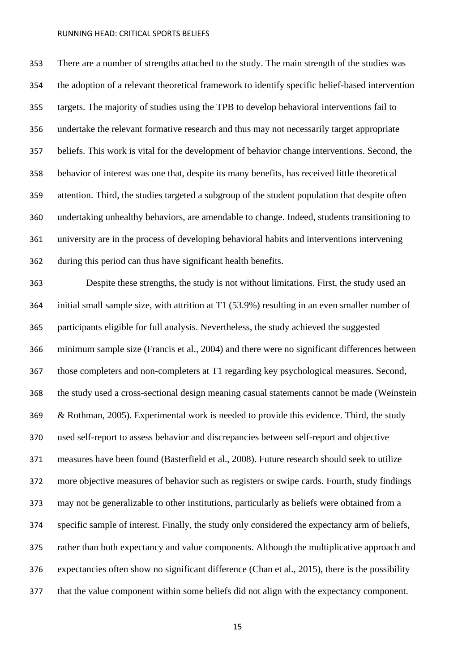There are a number of strengths attached to the study. The main strength of the studies was the adoption of a relevant theoretical framework to identify specific belief-based intervention targets. The majority of studies using the TPB to develop behavioral interventions fail to undertake the relevant formative research and thus may not necessarily target appropriate beliefs. This work is vital for the development of behavior change interventions. Second, the behavior of interest was one that, despite its many benefits, has received little theoretical attention. Third, the studies targeted a subgroup of the student population that despite often undertaking unhealthy behaviors, are amendable to change. Indeed, students transitioning to university are in the process of developing behavioral habits and interventions intervening during this period can thus have significant health benefits.

 Despite these strengths, the study is not without limitations. First, the study used an initial small sample size, with attrition at T1 (53.9%) resulting in an even smaller number of participants eligible for full analysis. Nevertheless, the study achieved the suggested minimum sample size (Francis et al., 2004) and there were no significant differences between those completers and non-completers at T1 regarding key psychological measures. Second, the study used a cross-sectional design meaning casual statements cannot be made (Weinstein & Rothman, 2005). Experimental work is needed to provide this evidence. Third, the study used self-report to assess behavior and discrepancies between self-report and objective measures have been found (Basterfield et al., 2008). Future research should seek to utilize more objective measures of behavior such as registers or swipe cards. Fourth, study findings may not be generalizable to other institutions, particularly as beliefs were obtained from a specific sample of interest. Finally, the study only considered the expectancy arm of beliefs, rather than both expectancy and value components. Although the multiplicative approach and expectancies often show no significant difference (Chan et al., 2015), there is the possibility that the value component within some beliefs did not align with the expectancy component.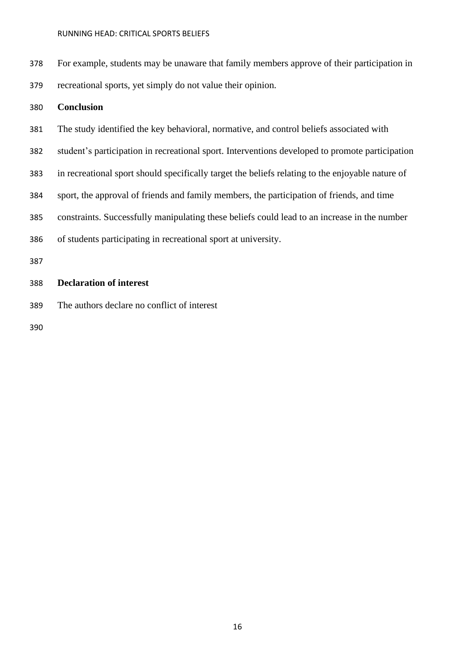For example, students may be unaware that family members approve of their participation in recreational sports, yet simply do not value their opinion.

# **Conclusion**

- The study identified the key behavioral, normative, and control beliefs associated with
- student's participation in recreational sport. Interventions developed to promote participation
- in recreational sport should specifically target the beliefs relating to the enjoyable nature of
- sport, the approval of friends and family members, the participation of friends, and time
- constraints. Successfully manipulating these beliefs could lead to an increase in the number
- of students participating in recreational sport at university.
- 

# **Declaration of interest**

The authors declare no conflict of interest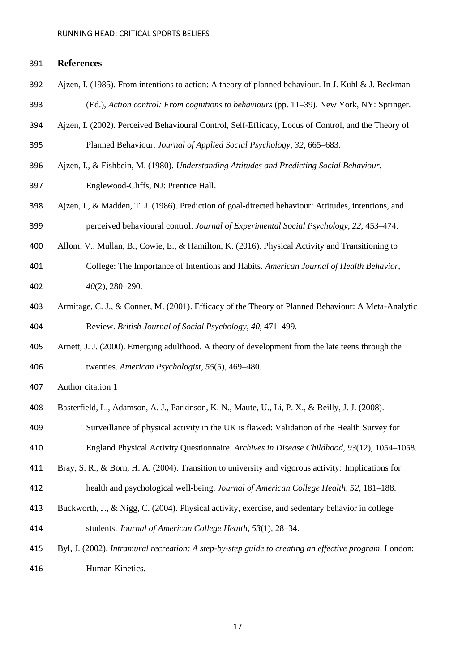#### **References**

- Ajzen, I. (1985). From intentions to action: A theory of planned behaviour. In J. Kuhl & J. Beckman (Ed.), *Action control: From cognitions to behaviours* (pp. 11–39). New York, NY: Springer.
- Ajzen, I. (2002). Perceived Behavioural Control, Self-Efficacy, Locus of Control, and the Theory of Planned Behaviour. *Journal of Applied Social Psychology*, *32*, 665–683.
- Ajzen, I., & Fishbein, M. (1980). *Understanding Attitudes and Predicting Social Behaviour.*  Englewood-Cliffs, NJ: Prentice Hall.
- Ajzen, I., & Madden, T. J. (1986). Prediction of goal-directed behaviour: Attitudes, intentions, and perceived behavioural control. *Journal of Experimental Social Psychology, 22*, 453–474.
- Allom, V., Mullan, B., Cowie, E., & Hamilton, K. (2016). Physical Activity and Transitioning to
- College: The Importance of Intentions and Habits. *American Journal of Health Behavior, 40*(2), 280–290.
- Armitage, C. J., & Conner, M. (2001). Efficacy of the Theory of Planned Behaviour: A Meta-Analytic Review. *British Journal of Social Psychology*, *40*, 471–499.
- Arnett, J. J. (2000). Emerging adulthood. A theory of development from the late teens through the twenties. *American Psychologist*, *55*(5), 469–480.
- Author citation 1
- Basterfield, L., Adamson, A. J., Parkinson, K. N., Maute, U., Li, P. X., & Reilly, J. J. (2008).
- Surveillance of physical activity in the UK is flawed: Validation of the Health Survey for
- England Physical Activity Questionnaire. *Archives in Disease Childhood, 93*(12), 1054–1058.
- Bray, S. R., & Born, H. A. (2004). Transition to university and vigorous activity: Implications for health and psychological well-being. *Journal of American College Health, 52,* 181–188.
- Buckworth, J., & Nigg, C. (2004). Physical activity, exercise, and sedentary behavior in college students. *Journal of American College Health, 53*(1), 28–34.
- Byl, J. (2002). *Intramural recreation: A step-by-step guide to creating an effective program*. London: Human Kinetics.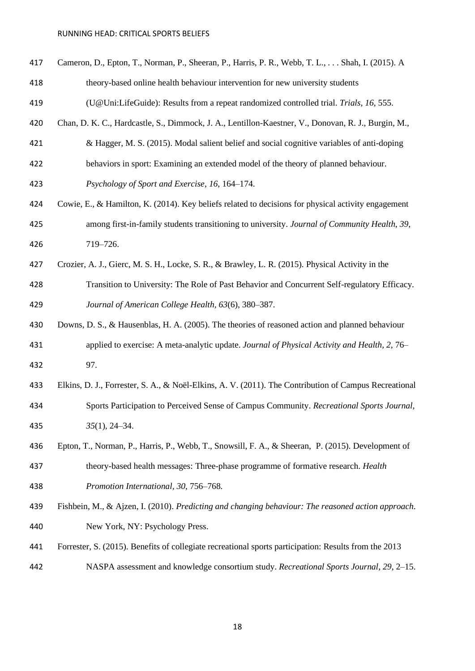- Cameron, D., Epton, T., Norman, P., Sheeran, P., Harris, P. R., Webb, T. L., . . . Shah, I. (2015). A
- theory-based online health behaviour intervention for new university students
- (U@Uni:LifeGuide): Results from a repeat randomized controlled trial. *Trials, 16*, 555.
- Chan, D. K. C., Hardcastle, S., Dimmock, J. A., Lentillon-Kaestner, V., Donovan, R. J., Burgin, M.,
- & Hagger, M. S. (2015). Modal salient belief and social cognitive variables of anti-doping
- behaviors in sport: Examining an extended model of the theory of planned behaviour.

*Psychology of Sport and Exercise*, *16*, 164–174.

- Cowie, E., & Hamilton, K. (2014). Key beliefs related to decisions for physical activity engagement among first-in-family students transitioning to university. *Journal of Community Health*, *39*, 719–726.
- Crozier, A. J., Gierc, M. S. H., Locke, S. R., & Brawley, L. R. (2015). Physical Activity in the Transition to University: The Role of Past Behavior and Concurrent Self-regulatory Efficacy.

*Journal of American College Health, 63*(6), 380–387.

- Downs, D. S., & Hausenblas, H. A. (2005). The theories of reasoned action and planned behaviour applied to exercise: A meta-analytic update. *Journal of Physical Activity and Health, 2,* 76– 97.
- Elkins, D. J., Forrester, S. A., & Noël-Elkins, A. V. (2011). The Contribution of Campus Recreational Sports Participation to Perceived Sense of Campus Community. *Recreational Sports Journal, 35*(1), 24–34.
- Epton, T., Norman, P., Harris, P., Webb, T., Snowsill, F. A., & Sheeran, P. (2015). Development of theory-based health messages: Three-phase programme of formative research. *Health Promotion International, 30*, 756–768.
- Fishbein, M., & Ajzen, I. (2010). *Predicting and changing behaviour: The reasoned action approach*. New York, NY: Psychology Press.
- Forrester, S. (2015). Benefits of collegiate recreational sports participation: Results from the 2013
- NASPA assessment and knowledge consortium study. *Recreational Sports Journal*, *29*, 2–15.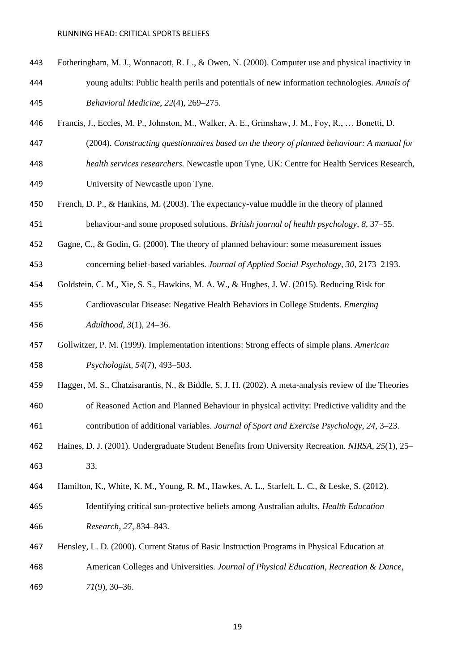- Fotheringham, M. J., Wonnacott, R. L., & Owen, N. (2000). Computer use and physical inactivity in young adults: Public health perils and potentials of new information technologies. *Annals of Behavioral Medicine, 22*(4), 269–275.
- Francis, J., Eccles, M. P., Johnston, M., Walker, A. E., Grimshaw, J. M., Foy, R., … Bonetti, D.
- (2004). *Constructing questionnaires based on the theory of planned behaviour: A manual for*
- *health services researchers.* Newcastle upon Tyne, UK: Centre for Health Services Research,
- University of Newcastle upon Tyne.
- French, D. P., & Hankins, M. (2003). The expectancy-value muddle in the theory of planned behaviour-and some proposed solutions. *British journal of health psychology*, *8*, 37–55.
- Gagne, C., & Godin, G. (2000). The theory of planned behaviour: some measurement issues
- concerning belief-based variables. *Journal of Applied Social Psychology*, *30*, 2173–2193.
- Goldstein, C. M., Xie, S. S., Hawkins, M. A. W., & Hughes, J. W. (2015). Reducing Risk for
- Cardiovascular Disease: Negative Health Behaviors in College Students. *Emerging Adulthood, 3*(1), 24–36.
- Gollwitzer, P. M. (1999). Implementation intentions: Strong effects of simple plans. *American Psychologist, 54*(7), 493–503.
- Hagger, M. S., Chatzisarantis, N., & Biddle, S. J. H. (2002). A meta-analysis review of the Theories of Reasoned Action and Planned Behaviour in physical activity: Predictive validity and the contribution of additional variables. *Journal of Sport and Exercise Psychology, 24*, 3–23.
- Haines, D. J. (2001). Undergraduate Student Benefits from University Recreation. *NIRSA, 25*(1), 25– 33.
- Hamilton, K., White, K. M., Young, R. M., Hawkes, A. L., Starfelt, L. C., & Leske, S. (2012).
- Identifying critical sun-protective beliefs among Australian adults. *Health Education Research*, *27*, 834–843.
- Hensley, L. D. (2000). Current Status of Basic Instruction Programs in Physical Education at American Colleges and Universities. *Journal of Physical Education, Recreation & Dance, 71*(9), 30–36.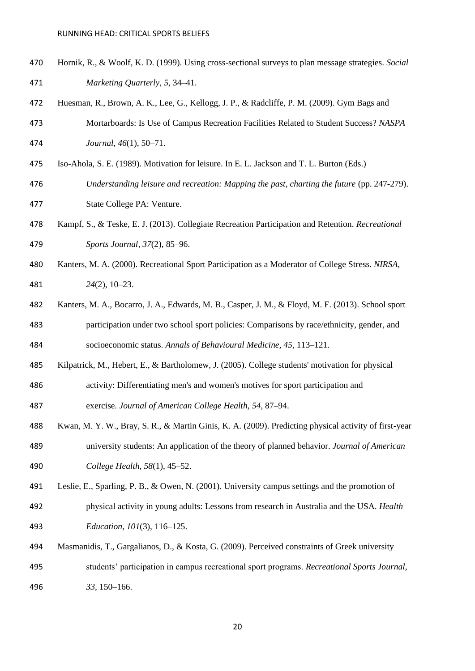- Hornik, R., & Woolf, K. D. (1999). Using cross-sectional surveys to plan message strategies. *Social Marketing Quarterly*, *5*, 34–41.
- Huesman, R., Brown, A. K., Lee, G., Kellogg, J. P., & Radcliffe, P. M. (2009). Gym Bags and Mortarboards: Is Use of Campus Recreation Facilities Related to Student Success? *NASPA Journal, 46*(1), 50–71.
- Iso-Ahola, S. E. (1989). Motivation for leisure. In E. L. Jackson and T. L. Burton (Eds.)
- *Understanding leisure and recreation: Mapping the past, charting the future* (pp. 247-279). State College PA: Venture.
- Kampf, S., & Teske, E. J. (2013). Collegiate Recreation Participation and Retention. *Recreational Sports Journal, 37*(2), 85–96.
- Kanters, M. A. (2000). Recreational Sport Participation as a Moderator of College Stress. *NIRSA, 24*(2), 10–23.
- Kanters, M. A., Bocarro, J. A., Edwards, M. B., Casper, J. M., & Floyd, M. F. (2013). School sport participation under two school sport policies: Comparisons by race/ethnicity, gender, and socioeconomic status. *Annals of Behavioural Medicine*, *45*, 113–121.
- Kilpatrick, M., Hebert, E., & Bartholomew, J. (2005). College students' motivation for physical
- activity: Differentiating men's and women's motives for sport participation and exercise*. Journal of American College Health*, *54*, 87–94.
- Kwan, M. Y. W., Bray, S. R., & Martin Ginis, K. A. (2009). Predicting physical activity of first-year university students: An application of the theory of planned behavior. *Journal of American College Health, 58*(1), 45–52.
- Leslie, E., Sparling, P. B., & Owen, N. (2001). University campus settings and the promotion of
- physical activity in young adults: Lessons from research in Australia and the USA. *Health Education*, *101*(3), 116–125.
- Masmanidis, T., Gargalianos, D., & Kosta, G. (2009). Perceived constraints of Greek university students' participation in campus recreational sport programs. *Recreational Sports Journal*, *33*, 150–166.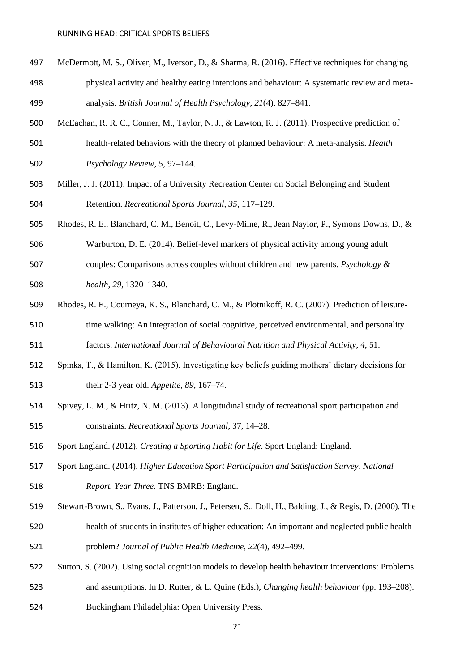- McDermott, M. S., Oliver, M., Iverson, D., & Sharma, R. (2016). Effective techniques for changing physical activity and healthy eating intentions and behaviour: A systematic review and meta-analysis. *British Journal of Health Psychology*, *21*(4), 827–841.
- McEachan, R. R. C., Conner, M., Taylor, N. J., & Lawton, R. J. (2011). Prospective prediction of health-related behaviors with the theory of planned behaviour: A meta-analysis. *Health Psychology Review*, *5*, 97–144.
- Miller, J. J. (2011). Impact of a University Recreation Center on Social Belonging and Student Retention. *Recreational Sports Journal, 35*, 117–129.
- Rhodes, R. E., Blanchard, C. M., Benoit, C., Levy-Milne, R., Jean Naylor, P., Symons Downs, D., &

Warburton, D. E. (2014). Belief-level markers of physical activity among young adult

- couples: Comparisons across couples without children and new parents. *Psychology & health*, *29*, 1320–1340.
- Rhodes, R. E., Courneya, K. S., Blanchard, C. M., & Plotnikoff, R. C. (2007). Prediction of leisure- time walking: An integration of social cognitive, perceived environmental, and personality factors. *International Journal of Behavioural Nutrition and Physical Activity*, *4*, 51.
- Spinks, T., & Hamilton, K. (2015). Investigating key beliefs guiding mothers' dietary decisions for

their 2-3 year old. *Appetite*, *89*, 167–74.

- Spivey, L. M., & Hritz, N. M. (2013). A longitudinal study of recreational sport participation and constraints. *Recreational Sports Journal*, 37, 14–28.
- Sport England. (2012). *Creating a Sporting Habit for Life*. Sport England: England.
- Sport England. (2014). *Higher Education Sport Participation and Satisfaction Survey. National Report. Year Three*. TNS BMRB: England.
- Stewart-Brown, S., Evans, J., Patterson, J., Petersen, S., Doll, H., Balding, J., & Regis, D. (2000). The health of students in institutes of higher education: An important and neglected public health problem? *Journal of Public Health Medicine, 22*(4), 492–499.
- Sutton, S. (2002). Using social cognition models to develop health behaviour interventions: Problems
- and assumptions. In D. Rutter, & L. Quine (Eds.), *Changing health behaviour* (pp. 193–208).
- Buckingham Philadelphia: Open University Press.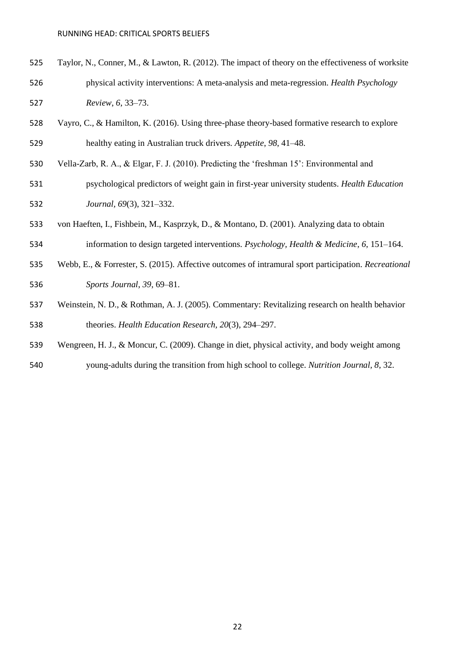- Taylor, N., Conner, M., & Lawton, R. (2012). The impact of theory on the effectiveness of worksite physical activity interventions: A meta-analysis and meta-regression. *Health Psychology Review*, *6*, 33–73.
- Vayro, C., & Hamilton, K. (2016). Using three-phase theory-based formative research to explore healthy eating in Australian truck drivers. *Appetite*, *98*, 41–48.
- Vella-Zarb, R. A., & Elgar, F. J. (2010). Predicting the 'freshman 15': Environmental and
- psychological predictors of weight gain in first-year university students. *Health Education Journal, 69*(3), 321–332.
- von Haeften, I., Fishbein, M., Kasprzyk, D., & Montano, D. (2001). Analyzing data to obtain
- information to design targeted interventions. *Psychology, Health & Medicine*, *6*, 151–164.
- Webb, E., & Forrester, S. (2015). Affective outcomes of intramural sport participation. *Recreational Sports Journal*, *39*, 69–81.
- Weinstein, N. D., & Rothman, A. J. (2005). Commentary: Revitalizing research on health behavior theories. *Health Education Research, 20*(3), 294–297.
- Wengreen, H. J., & Moncur, C. (2009). Change in diet, physical activity, and body weight among
- young-adults during the transition from high school to college. *Nutrition Journal, 8*, 32.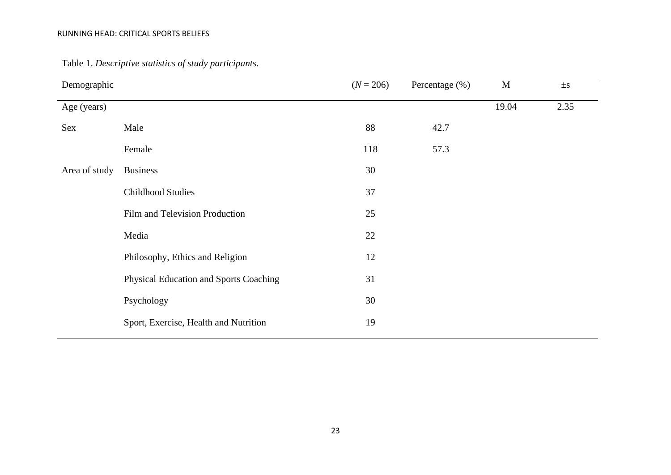| Demographic   |                                        | $(N = 206)$ | Percentage (%) | $\mathbf M$ | $\pm s$ |
|---------------|----------------------------------------|-------------|----------------|-------------|---------|
| Age (years)   |                                        |             |                | 19.04       | 2.35    |
| Sex           | Male                                   | 88          | 42.7           |             |         |
|               | Female                                 | 118         | 57.3           |             |         |
| Area of study | <b>Business</b>                        | 30          |                |             |         |
|               | <b>Childhood Studies</b>               | 37          |                |             |         |
|               | Film and Television Production         | 25          |                |             |         |
|               | Media                                  | 22          |                |             |         |
|               | Philosophy, Ethics and Religion        | 12          |                |             |         |
|               | Physical Education and Sports Coaching | 31          |                |             |         |
|               | Psychology                             | 30          |                |             |         |
|               | Sport, Exercise, Health and Nutrition  | 19          |                |             |         |
|               |                                        |             |                |             |         |

Table 1. *Descriptive statistics of study participants*.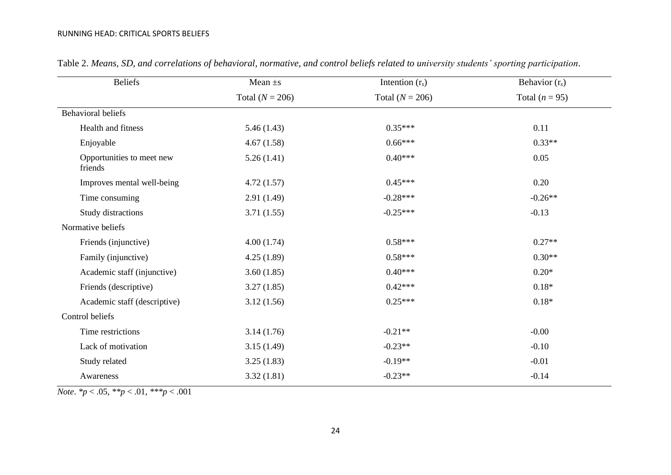| <b>Beliefs</b>                       | Mean $\pm$ s      | Intention $(r_s)$ | Behavior $(r_s)$ |
|--------------------------------------|-------------------|-------------------|------------------|
|                                      | Total $(N = 206)$ | Total $(N = 206)$ | Total $(n = 95)$ |
| <b>Behavioral beliefs</b>            |                   |                   |                  |
| Health and fitness                   | 5.46(1.43)        | $0.35***$         | 0.11             |
| Enjoyable                            | 4.67(1.58)        | $0.66***$         | $0.33**$         |
| Opportunities to meet new<br>friends | 5.26(1.41)        | $0.40***$         | 0.05             |
| Improves mental well-being           | 4.72(1.57)        | $0.45***$         | 0.20             |
| Time consuming                       | 2.91(1.49)        | $-0.28***$        | $-0.26**$        |
| Study distractions                   | 3.71(1.55)        | $-0.25***$        | $-0.13$          |
| Normative beliefs                    |                   |                   |                  |
| Friends (injunctive)                 | 4.00(1.74)        | $0.58***$         | $0.27**$         |
| Family (injunctive)                  | 4.25(1.89)        | $0.58***$         | $0.30**$         |
| Academic staff (injunctive)          | 3.60(1.85)        | $0.40***$         | $0.20*$          |
| Friends (descriptive)                | 3.27(1.85)        | $0.42***$         | $0.18*$          |
| Academic staff (descriptive)         | 3.12(1.56)        | $0.25***$         | $0.18*$          |
| Control beliefs                      |                   |                   |                  |
| Time restrictions                    | 3.14(1.76)        | $-0.21**$         | $-0.00$          |
| Lack of motivation                   | 3.15(1.49)        | $-0.23**$         | $-0.10$          |
| Study related                        | 3.25(1.83)        | $-0.19**$         | $-0.01$          |
| Awareness                            | 3.32(1.81)        | $-0.23**$         | $-0.14$          |

Table 2. *Means, SD, and correlations of behavioral, normative, and control beliefs related to university students' sporting participation*.

*Note*. *\*p* < .05, *\*\*p* < .01, *\*\*\*p* < .001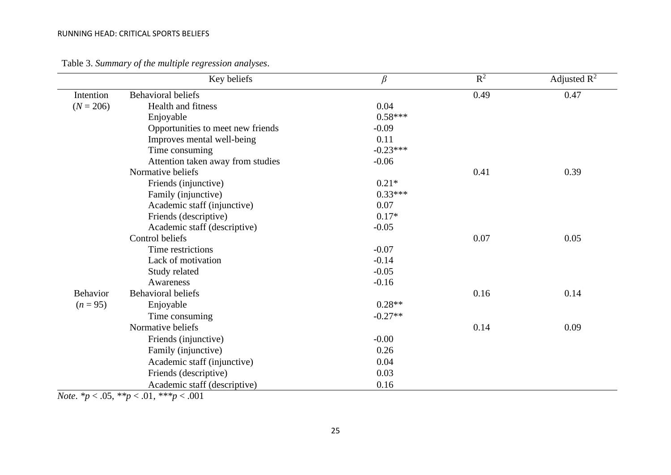|                 | Key beliefs                       | $\beta$    | $R^2$ | Adjusted $R^2$ |
|-----------------|-----------------------------------|------------|-------|----------------|
| Intention       | <b>Behavioral beliefs</b>         |            | 0.49  | 0.47           |
| $(N = 206)$     | <b>Health and fitness</b>         | 0.04       |       |                |
|                 | Enjoyable                         | $0.58***$  |       |                |
|                 | Opportunities to meet new friends | $-0.09$    |       |                |
|                 | Improves mental well-being        | 0.11       |       |                |
|                 | Time consuming                    | $-0.23***$ |       |                |
|                 | Attention taken away from studies | $-0.06$    |       |                |
|                 | Normative beliefs                 |            | 0.41  | 0.39           |
|                 | Friends (injunctive)              | $0.21*$    |       |                |
|                 | Family (injunctive)               | $0.33***$  |       |                |
|                 | Academic staff (injunctive)       | 0.07       |       |                |
|                 | Friends (descriptive)             | $0.17*$    |       |                |
|                 | Academic staff (descriptive)      | $-0.05$    |       |                |
|                 | Control beliefs                   |            | 0.07  | 0.05           |
|                 | Time restrictions                 | $-0.07$    |       |                |
|                 | Lack of motivation                | $-0.14$    |       |                |
|                 | Study related                     | $-0.05$    |       |                |
|                 | Awareness                         | $-0.16$    |       |                |
| <b>Behavior</b> | <b>Behavioral beliefs</b>         |            | 0.16  | 0.14           |
| $(n = 95)$      | Enjoyable                         | $0.28**$   |       |                |
|                 | Time consuming                    | $-0.27**$  |       |                |
|                 | Normative beliefs                 |            | 0.14  | 0.09           |
|                 | Friends (injunctive)              | $-0.00$    |       |                |
|                 | Family (injunctive)               | 0.26       |       |                |
|                 | Academic staff (injunctive)       | 0.04       |       |                |
|                 | Friends (descriptive)             | 0.03       |       |                |
|                 | Academic staff (descriptive)      | 0.16       |       |                |

Table 3. *Summary of the multiple regression analyses* .

*Note*. *\*p* < .05, *\*\*p* < .01, *\*\*\*p* < .001